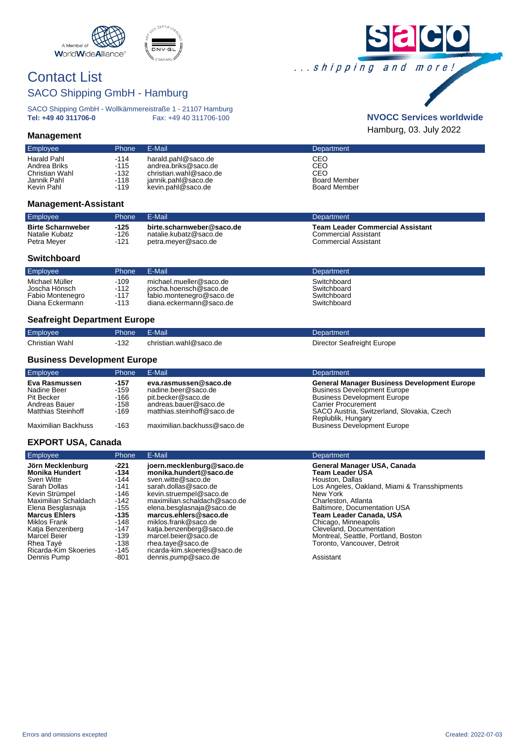





Hamburg, 03. July 2022 **NVOCC Services worldwide**

 $\mathcal{L}_{\mathcal{A}}$ 

# Contact List SACO Shipping GmbH - Hamburg

SACO Shipping GmbH - Wollkämmereistraße 1 - 21107 Hamburg<br>Tel: +49 40 311706-0<br>Fax: +49 40 311706-100 **Tel: +49 40 311706-0** Fax: +49 40 311706-100

#### **Management**

| Emplovee       | Phone  | F-Mail                 | Department          |
|----------------|--------|------------------------|---------------------|
| Harald Pahl    | $-114$ | harald.pahl@saco.de    | CEO                 |
| Andrea Briks   | $-115$ | andrea.briks@saco.de   | CEO                 |
| Christian Wahl | $-132$ | christian.wahl@saco.de | CEO                 |
| Jannik Pahl    | $-118$ | iannik.pahl@saco.de    | <b>Board Member</b> |
| Kevin Pahl     | $-119$ | kevin.pahl@saco.de     | <b>Board Member</b> |

#### **Management-Assistant**

| Employee                 | <b>Phone</b> | E-Mail                    | Department                              |
|--------------------------|--------------|---------------------------|-----------------------------------------|
| <b>Birte Scharnweber</b> | -125         | birte.scharnweber@saco.de | <b>Team Leader Commercial Assistant</b> |
| Natalie Kubatz           | -126         | natalie.kubatz@saco.de    | Commercial Assistant                    |
| Petra Meyer              | -121         | petra.meyer@saco.de       | Commercial Assistant                    |

#### **Switchboard**

| Employee         | <b>Phone</b> | F-Mail                   | Department  |
|------------------|--------------|--------------------------|-------------|
| Michael Müller   | -109         | michael.mueller@saco.de  | Switchboard |
| Joscha Hönsch    | $-112$       | ioscha.hoensch@saco.de   | Switchboard |
| Fabio Montenegro | $-117$       | fabio.montenegro@saco.de | Switchboard |
| Diana Eckermann  | $-113$       | diana.eckermann@saco.de  | Switchboard |

### **Seafreight Department Europe**

| Employee       | <b>Phone</b> | E-Mail                 | Department                 |
|----------------|--------------|------------------------|----------------------------|
| Christian Wahl | -132         | christian.wahl@saco.de | Director Seafreight Europe |

### **Business Development Europe**

| Employee                                                                          | <b>Phone</b>                         | E-Mail                                                                                                                    | Department                                                                                                                                                                                                 |
|-----------------------------------------------------------------------------------|--------------------------------------|---------------------------------------------------------------------------------------------------------------------------|------------------------------------------------------------------------------------------------------------------------------------------------------------------------------------------------------------|
| Eva Rasmussen<br>Nadine Beer<br>Pit Becker<br>Andreas Bauer<br>Matthias Steinhoff | -157<br>-159<br>-166<br>-158<br>-169 | eva.rasmussen@saco.de<br>nadine.beer@saco.de<br>pit.becker@saco.de<br>andreas.bauer@saco.de<br>matthias.steinhoff@saco.de | <b>General Manager Business Development Europe</b><br><b>Business Development Europe</b><br><b>Business Development Europe</b><br><b>Carrier Procurement</b><br>SACO Austria, Switzerland, Slovakia, Czech |
| Maximilian Backhuss                                                               | $-163$                               | maximilian.backhuss@saco.de                                                                                               | Replublik, Hungary<br><b>Business Development Europe</b>                                                                                                                                                   |

### **EXPORT USA, Canada**

| Employee                                                                                                                                                                              | Phone                                                                              | E-Mail                                                                                                                                                                                                                                     | Department                                                                                                                                                                                                                              |
|---------------------------------------------------------------------------------------------------------------------------------------------------------------------------------------|------------------------------------------------------------------------------------|--------------------------------------------------------------------------------------------------------------------------------------------------------------------------------------------------------------------------------------------|-----------------------------------------------------------------------------------------------------------------------------------------------------------------------------------------------------------------------------------------|
| Jörn Mecklenburg<br><b>Monika Hundert</b><br>Sven Witte<br>Sarah Dollas<br>Kevin Strümpel<br>Maximilian Schaldach<br>Elena Besglasnaja<br><b>Marcus Ehlers</b><br><b>Miklos Frank</b> | $-221$<br>$-134$<br>-144<br>$-141$<br>-146<br>$-142$<br>$-155$<br>$-135$<br>$-148$ | joern.mecklenburg@saco.de<br>monika.hundert@saco.de<br>sven.witte@saco.de<br>sarah.dollas@saco.de<br>kevin.struempel@saco.de<br>maximilian.schaldach@saco.de<br>elena.besglasnaja@saco.de<br>marcus.ehlers@saco.de<br>miklos.frank@saco.de | General Manager USA, Canada<br>Team Leader ŪSA<br>Houston, Dallas<br>Los Angeles, Oakland, Miami & Transshipments<br>New York<br>Charleston, Atlanta<br>Baltimore, Documentation USA<br>Team Leader Canada, USA<br>Chicago, Minneapolis |
| Katja Benzenberg<br><b>Marcel Beier</b><br>Rhea Tavé<br>Ricarda-Kim Skoeries<br>Dennis Pump                                                                                           | $-147$<br>$-139$<br>$-138$<br>$-145$<br>-801                                       | katja.benzenberg@saco.de<br>marcel.beier@saco.de<br>rhea.taye@saco.de<br>ricarda-kim.skoeries@saco.de<br>dennis.pump@saco.de                                                                                                               | Cleveland, Documentation<br>Montreal, Seattle, Portland, Boston<br>Toronto. Vancouver. Detroit<br>Assistant                                                                                                                             |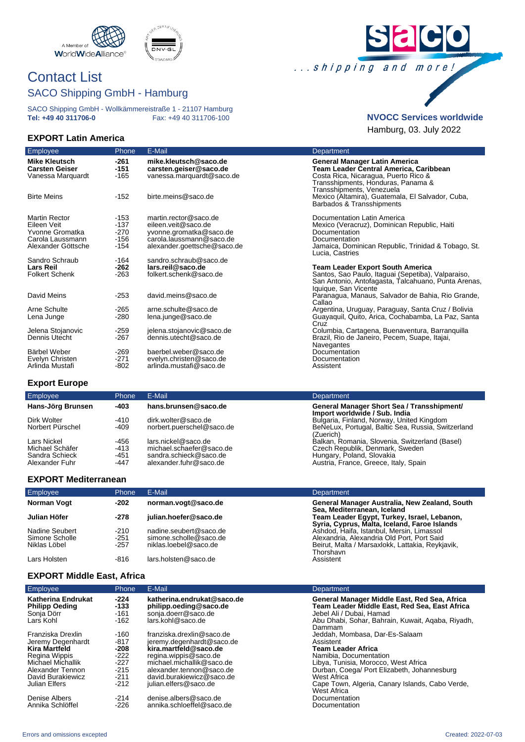



SACO Shipping GmbH - Wollkämmereistraße 1 - 21107 Hamburg<br>Tel: +49 40 311706-0<br>Fax: +49 40 311706-100 **Tel: +49 40 311706-0** Fax: +49 40 311706-100

#### **EXPORT Latin America**



## **NVOCC Services worldwide**

Hamburg, 03. July 2022

| Employee                                      | Phone          | E-Mail                                          | Department                                                                                                                        |
|-----------------------------------------------|----------------|-------------------------------------------------|-----------------------------------------------------------------------------------------------------------------------------------|
| <b>Mike Kleutsch</b><br><b>Carsten Geiser</b> | -261<br>$-151$ | mike.kleutsch@saco.de<br>carsten.geiser@saco.de | <b>General Manager Latin America</b><br>Team Leader Central America, Caribbean                                                    |
| Vanessa Marquardt                             | $-165$         | vanessa.marquardt@saco.de                       | Costa Rica, Nicaragua, Puerto Rico &<br>Transshipments, Honduras, Panama &<br>Transshipments, Venezuela                           |
| <b>Birte Meins</b>                            | $-152$         | birte.meins@saco.de                             | Mexico (Altamira), Guatemala, El Salvador, Cuba,<br>Barbados & Transshipments                                                     |
| <b>Martin Rector</b>                          | $-153$         | martin.rector@saco.de                           | Documentation Latin America                                                                                                       |
| Eileen Veit                                   | $-137$         | eileen.veit@saco.de                             | Mexico (Veracruz), Dominican Republic, Haiti                                                                                      |
| Yvonne Gromatka                               | $-270$         | yvonne.gromatka@saco.de                         | Documentation                                                                                                                     |
| Carola Laussmann                              | $-156$         | carola.laussmann@saco.de                        | Documentation                                                                                                                     |
| Alexander Göttsche                            | $-154$         | alexander.goettsche@saco.de                     | Jamaica, Dominican Republic, Trinidad & Tobago, St.<br>Lucia, Castries                                                            |
| Sandro Schraub                                | $-164$         | sandro.schraub@saco.de                          |                                                                                                                                   |
| <b>Lars Reil</b>                              | $-262$         | lars.reil@saco.de                               | <b>Team Leader Export South America</b>                                                                                           |
| <b>Folkert Schenk</b>                         | $-263$         | folkert.schenk@saco.de                          | Santos, Sao Paulo, Itaguai (Sepetiba), Valparaiso,<br>San Antonio, Antofagasta, Talcahuano, Punta Arenas,<br>Iquique, San Vicente |
| David Meins                                   | $-253$         | david.meins@saco.de                             | Paranagua, Manaus, Salvador de Bahia, Rio Grande,<br>Callao                                                                       |
| Arne Schulte                                  | $-265$         | arne.schulte@saco.de                            | Argentina, Uruguay, Paraguay, Santa Cruz / Bolivia                                                                                |
| Lena Junge                                    | $-280$         | lena.junge@saco.de                              | Guayaquil, Quito, Arica, Cochabamba, La Paz, Santa<br>Cruz                                                                        |
| Jelena Stojanovic                             | $-259$         | jelena.stojanovic@saco.de                       | Columbia, Cartagena, Buenaventura, Barranquilla                                                                                   |
| Dennis Utecht                                 | $-267$         | dennis.utecht@saco.de                           | Brazil, Rio de Janeiro, Pecem, Suape, Itajai,<br>Navegantes                                                                       |
| Bärbel Weber                                  | $-269$         | baerbel.weber@saco.de                           | Documentation                                                                                                                     |
| Evelyn Christen                               | $-271$         | evelyn.christen@saco.de                         | Documentation                                                                                                                     |
| Arlinda Mustafi                               | $-802$         | arlinda.mustafi@saco.de                         | Assistent                                                                                                                         |

#### **Export Europe**

| <b>Employee</b>   | <b>Phone</b> | E-Mail                    | Department                                                                  |
|-------------------|--------------|---------------------------|-----------------------------------------------------------------------------|
| Hans-Jörg Brunsen | -403         | hans.brunsen@saco.de      | General Manager Short Sea / Transshipment/<br>Import worldwide / Sub. India |
| Dirk Wolter       | -410         | dirk.wolter@saco.de       | Bulgaria, Finland, Norway, United Kingdom                                   |
| Norbert Pürschel  | -409         | norbert.puerschel@saco.de | BeNeLux, Portugal, Baltic Sea, Russia, Switzerland<br>(Zuerich)             |
| Lars Nickel       | -456         | lars.nickel@saco.de       | Balkan, Romania, Slovenia, Switzerland (Basel)                              |
| Michael Schäfer   | -413         | michael.schaefer@saco.de  | Czech Republik, Denmark, Sweden                                             |
| Sandra Schieck    | -451         | sandra.schieck@saco.de    | Hungary, Poland, Slovakia                                                   |
| Alexander Fuhr    | $-447$       | alexander.fuhr@saco.de    | Austria, France, Greece, Italy, Spain                                       |

## **EXPORT Mediterranean**

| <b>Employee</b>                                  | Phone                      | E-Mail                                                                    | <b>Department</b>                                                                                                                           |
|--------------------------------------------------|----------------------------|---------------------------------------------------------------------------|---------------------------------------------------------------------------------------------------------------------------------------------|
| Norman Vogt                                      | $-202$                     | norman.vogt@saco.de                                                       | General Manager Australia, New Zealand, South                                                                                               |
| Julian Höfer                                     | $-278$                     | julian.hoefer@saco.de                                                     | Sea. Mediterranean. Iceland<br>Team Leader Egypt, Turkey, Israel, Lebanon,<br>Syria, Cyprus, Malta, Iceland, Faroe Islands                  |
| Nadine Seubert<br>Simone Scholle<br>Niklas Löbel | $-210$<br>$-251$<br>$-257$ | nadine.seubert@saco.de<br>simone.scholle@saco.de<br>niklas.loebel@saco.de | Ashdod, Haifa, Istanbul, Mersin, Limassol<br>Alexandria, Alexandria Old Port, Port Said<br>Beirut, Malta / Marsaxlokk, Lattakia, Reykjavik, |
| Lars Holsten                                     | -816                       | lars.holsten@saco.de                                                      | Thorshavn<br>Assistent                                                                                                                      |

#### **EXPORT Middle East, Africa**

| Employee                                                               | Phone                              | E-Mail                                                                                           | Department                                                                                                                                                                               |
|------------------------------------------------------------------------|------------------------------------|--------------------------------------------------------------------------------------------------|------------------------------------------------------------------------------------------------------------------------------------------------------------------------------------------|
| Katherina Endrukat<br><b>Philipp Oeding</b><br>Sonja Dörr<br>Lars Kohl | $-224$<br>-133<br>$-161$<br>$-162$ | katherina.endrukat@saco.de<br>philipp.oeding@saco.de<br>sonja.doerr@saco.de<br>lars.kohl@saco.de | General Manager Middle East, Red Sea, Africa<br>Team Leader Middle East, Red Sea, East Africa<br>Jebel Ali / Dubai, Hamad<br>Abu Dhabi, Sohar, Bahrain, Kuwait, Agaba, Riyadh,<br>Dammam |
| Franziska Drexlin<br>Jeremy Degenhardt<br>Kira Martfeld                | $-160$<br>$-817$<br>$-208$         | franziska.drexlin@saco.de<br>jeremy.degenhardt@saco.de<br>kira.martfeld@saco.de                  | Jeddah, Mombasa, Dar-Es-Salaam<br>Assistent<br>Team Leader Africa                                                                                                                        |
| Regina Wippis                                                          | $-222$                             | regina.wippis@saco.de                                                                            | Namibia, Documentation                                                                                                                                                                   |
| Michael Michallik<br>Alexander Tennon<br>David Burakiewicz             | $-227$<br>$-215$<br>$-211$         | michael.michallik@saco.de<br>alexander.tennon@saco.de<br>david.burakiewicz@saco.de               | Libya, Tunisia, Morocco, West Africa<br>Durban, Coega/ Port Elizabeth, Johannesburg<br>West Africa                                                                                       |
| Julian Elfers                                                          | $-212$                             | iulian.elfers@saco.de                                                                            | Cape Town, Algeria, Canary Islands, Cabo Verde,<br>West Africa                                                                                                                           |
| Denise Albers                                                          | $-214$                             | denise.albers@saco.de                                                                            | Documentation                                                                                                                                                                            |
| Annika Schlöffel                                                       | $-226$                             | annika.schloeffel@saco.de                                                                        | Documentation                                                                                                                                                                            |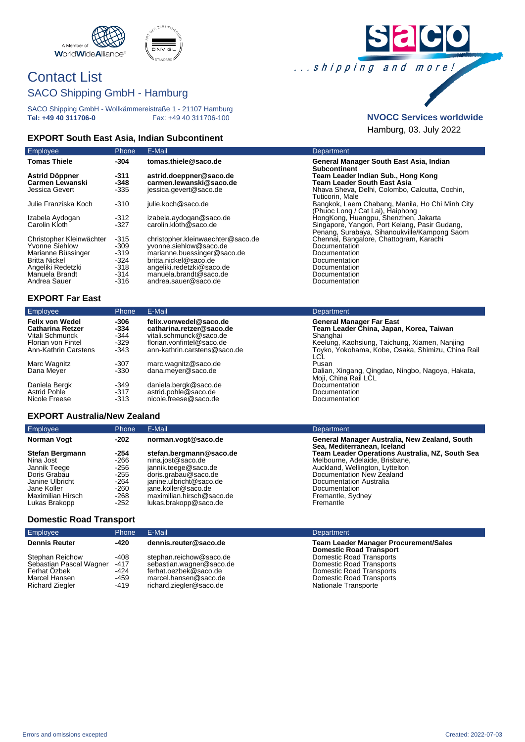



SACO Shipping GmbH - Wollkämmereistraße 1 - 21107 Hamburg **Tel: +49 40 311706-0** Fax: +49 40 311706-100

## **EXPORT South East Asia, Indian Subcontinent**

| EXPORT South East Asia, Indian Subcontinent                |                            |                                                                              |                                                                                                                            |
|------------------------------------------------------------|----------------------------|------------------------------------------------------------------------------|----------------------------------------------------------------------------------------------------------------------------|
| <b>Employee</b>                                            | Phone                      | E-Mail                                                                       | Department                                                                                                                 |
| <b>Tomas Thiele</b>                                        | $-304$                     | tomas.thiele@saco.de                                                         | General Manager South East Asia, Indian<br><b>Subcontinent</b>                                                             |
| Astrid Döppner<br><b>Carmen Lewanski</b><br>Jessica Gevert | $-311$<br>$-348$<br>$-335$ | astrid.doeppner@saco.de<br>carmen.lewanski@saco.de<br>jessica.gevert@saco.de | Team Leader Indian Sub., Hong Kong<br><b>Team Leader South East Asia</b><br>Nhava Sheva, Delhi, Colombo, Calcutta, Cochin, |
| Julie Franziska Koch                                       | $-310$                     | julie.koch@saco.de                                                           | Tuticorin. Male<br>Bangkok, Laem Chabang, Manila, Ho Chi Minh City<br>(Phuoc Long / Cat Lai), Haiphong                     |
| Izabela Aydogan                                            | $-312$                     | izabela.aydogan@saco.de                                                      | HongKong, Huangpu, Shenzhen, Jakarta                                                                                       |
| Carolin Kloth                                              | -327                       | carolin.kloth@saco.de                                                        | Singapore, Yangon, Port Kelang, Pasir Gudang,<br>Penang, Surabaya, Sihanoukville/Kampong Saom                              |
| Christopher Kleinwächter                                   | $-315$                     | christopher.kleinwaechter@saco.de                                            | Chennai, Bangalore, Chattogram, Karachi                                                                                    |
| <b>Yvonne Siehlow</b>                                      | $-309$                     | yvonne.siehlow@saco.de                                                       | Documentation                                                                                                              |
| Marianne Büssinger                                         | $-319$                     | marianne.buessinger@saco.de                                                  | Documentation                                                                                                              |
| <b>Britta Nickel</b>                                       | $-324$                     | britta.nickel@saco.de                                                        | Documentation                                                                                                              |
| Angeliki Redetzki                                          | $-318$                     | angeliki.redetzki@saco.de                                                    | Documentation                                                                                                              |
| Manuela Brandt                                             | $-314$                     | manuela.brandt@saco.de                                                       | Documentation                                                                                                              |

Manuela Brandt -314 manuela.brandt@saco.de Documentation andrea.sauer@saco.de

### **EXPORT Far East**

I

| Employee                   | Phone          | E-Mail                                     | Department                                                                                |
|----------------------------|----------------|--------------------------------------------|-------------------------------------------------------------------------------------------|
| <b>Felix von Wedel</b>     | -306           | felix.vonwedel@saco.de                     | <b>General Manager Far East</b>                                                           |
| <b>Catharina Retzer</b>    | -334           | catharina.retzer@saco.de                   | Team Leader China, Japan, Korea, Taiwan                                                   |
| Vitali Schmunck            | -344           | vitali.schmunck@saco.de                    | Shanghai                                                                                  |
| Florian von Fintel         | $-329$         | florian.vonfintel@saco.de                  | Keelung, Kaohsiung, Taichung, Xiamen, Nanjing                                             |
| Ann-Kathrin Carstens       | $-343$         | ann-kathrin.carstens@saco.de               | Toyko, Yokohama, Kobe, Osaka, Shimizu, China Rai                                          |
| Marc Wagnitz<br>Dana Meyer | -307<br>$-330$ | marc.wagnitz@saco.de<br>dana.meyer@saco.de | LCL<br>Pusan<br>Dalian, Xingang, Qingdao, Ningbo, Nagoya, Hakata,<br>Moji, China Rail LCL |
| Daniela Bergk              | $-349$         | daniela.bergk@saco.de                      | Documentation                                                                             |
| Astrid Pohle               | $-317$         | astrid.pohle@saco.de                       | Documentation                                                                             |
| Nicole Freese              | $-313$         | nicole.freese@saco.de                      | Documentation                                                                             |

#### **EXPORT Australia/New Zealand**

| <b>Employee</b>        | <b>Phone</b> | E-Mail                    | Department                                                                   |
|------------------------|--------------|---------------------------|------------------------------------------------------------------------------|
| Norman Vogt            | $-202$       | norman.vogt@saco.de       | General Manager Australia, New Zealand, South<br>Sea, Mediterranean, Iceland |
| <b>Stefan Bergmann</b> | -254         | stefan.bergmann@saco.de   | Team Leader Operations Australia, NZ, South Sea                              |
| Nina Jost              | -266         | nina.jost@saco.de         | Melbourne, Adelaide, Brisbane,                                               |
| Jannik Teege           | -256         | jannik.teege@saco.de      | Auckland, Wellington, Lyttelton                                              |
| Doris Grabau           | $-255$       | doris.grabau@saco.de      | Documentation New Zealand                                                    |
| Janine Ulbricht        | -264         | ianine.ulbricht@saco.de   | Documentation Australia                                                      |
| Jane Koller            | $-260$       | jane.koller@saco.de       | Documentation                                                                |
| Maximilian Hirsch      | $-268$       | maximilian.hirsch@saco.de | Fremantle, Sydney                                                            |
| Lukas Brakopp          | $-252$       | lukas.brakopp@saco.de     | Fremantle                                                                    |

#### **Domestic Road Transport**

| Employee                                                                                       | <b>Phone</b>                           | E-Mail                                                                                                                           | <b>Department</b>                                                                                                                    |
|------------------------------------------------------------------------------------------------|----------------------------------------|----------------------------------------------------------------------------------------------------------------------------------|--------------------------------------------------------------------------------------------------------------------------------------|
| <b>Dennis Reuter</b>                                                                           | -420                                   | dennis.reuter@saco.de                                                                                                            | Team Leader Manager Procurement/Sales<br><b>Domestic Road Transport</b>                                                              |
| Stephan Reichow<br>Sebastian Pascal Wagner<br>Ferhat Ozbek<br>Marcel Hansen<br>Richard Ziegler | -408<br>$-417$<br>-424<br>-459<br>-419 | stephan.reichow@saco.de<br>sebastian.wagner@saco.de<br>ferhat.oezbek@saco.de<br>marcel.hansen@saco.de<br>richard.ziegler@saco.de | Domestic Road Transports<br>Domestic Road Transports<br>Domestic Road Transports<br>Domestic Road Transports<br>Nationale Transporte |



## **NVOCC Services worldwide**

Hamburg, 03. July 2022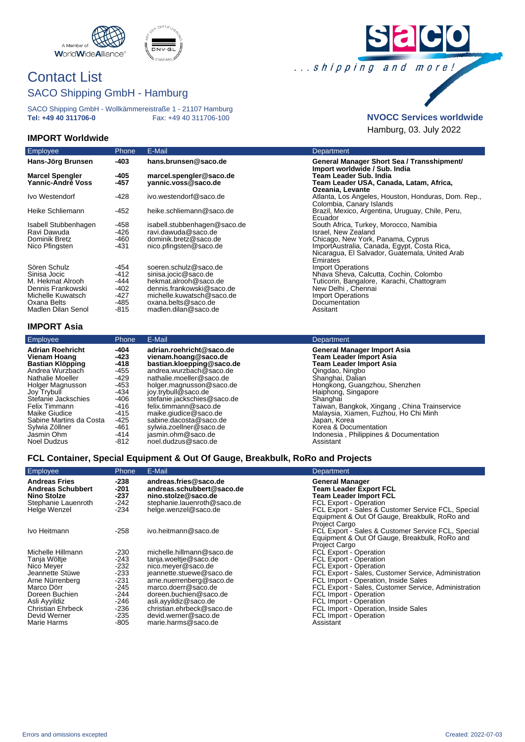



SACO Shipping GmbH - Wollkämmereistraße 1 - 21107 Hamburg<br>
Tel: +49 40 311706-0<br>
Fax: +49 40 311706-100 **Tel: +49 40 311706-0** Fax: +49 40 311706-100

#### **IMPORT Worldwide**



## **NVOCC Services worldwide**

Hamburg, 03. July 2022

| <b>Employee</b>                             | Phone        | E-Mail                                         | Department                                                                                                |
|---------------------------------------------|--------------|------------------------------------------------|-----------------------------------------------------------------------------------------------------------|
| Hans-Jörg Brunsen                           | -403         | hans.brunsen@saco.de                           | General Manager Short Sea / Transshipment/<br>Import worldwide / Sub. India                               |
| <b>Marcel Spengler</b><br>Yannic-André Voss | -405<br>-457 | marcel.spengler@saco.de<br>yannic.voss@saco.de | Team Leader Sub. India<br>Team Leader USA, Canada, Latam, Africa,                                         |
| Ivo Westendorf                              | $-428$       | ivo.westendorf@saco.de                         | Ozeania, Levante<br>Atlanta, Los Angeles, Houston, Honduras, Dom. Rep.,<br>Colombia, Canary Islands       |
| Heike Schliemann                            | $-452$       | heike.schliemann@saco.de                       | Brazil, Mexico, Argentina, Uruguay, Chile, Peru,<br>Ecuador                                               |
| Isabell Stubbenhagen                        | -458         | isabell.stubbenhagen@saco.de                   | South Africa, Turkey, Morocco, Namibia                                                                    |
| Ravi Dawuda                                 | -426         | ravi.dawuda@saco.de                            | Israel, New Zealand                                                                                       |
| Dominik Bretz                               | -460         | dominik.bretz@saco.de                          | Chicago, New York, Panama, Cyprus                                                                         |
| Nico Pfingsten                              | -431         | nico.pfingsten@saco.de                         | ImportAustralia, Canada, Egypt, Costa Rica,<br>Nicaragua, El Salvador, Guatemala, United Arab<br>Emirates |
| Sören Schulz                                | -454         | soeren.schulz@saco.de                          | <b>Import Operations</b>                                                                                  |
| Sinisa Jocic                                | -412         | sinisa.jocic@saco.de                           | Nhava Sheva, Calcutta, Cochin, Colombo                                                                    |
| M. Hekmat Alrooh                            | -444         | hekmat.alrooh@saco.de                          | Tuticorin, Bangalore, Karachi, Chattogram                                                                 |
| Dennis Frankowski                           | $-402$       | dennis.frankowski@saco.de                      | New Delhi, Chennai                                                                                        |
| Michelle Kuwatsch                           | $-427$       | michelle.kuwatsch@saco.de                      | <b>Import Operations</b>                                                                                  |
| Oxana Belts                                 | -485         | oxana.belts@saco.de                            | Documentation                                                                                             |
| Madlen Dilan Senol                          | -815         | madlen.dilan@saco.de                           | Assitant                                                                                                  |
| <b>IMPORT Asia</b>                          |              |                                                |                                                                                                           |

| Employee                                                           | <b>Phone</b>           | E-Mail                                                                        | Department                                                                               |
|--------------------------------------------------------------------|------------------------|-------------------------------------------------------------------------------|------------------------------------------------------------------------------------------|
| <b>Adrian Roehricht</b><br>Vienam Hoang<br><b>Bastian Klöpping</b> | $-404$<br>-423<br>-418 | adrian.roehricht@saco.de<br>vienam.hoang@saco.de<br>bastian.kloepping@saco.de | General Manager Import Asia<br>Team Leader Import Asia<br><b>Team Leader Import Asia</b> |
| Andrea Wurzbach<br>Nathalie Moeller                                | $-455$<br>$-429$       | andrea.wurzbach@saco.de<br>nathalie.moeller@saco.de                           | Qingdao, Ningbo<br>Shanghai, Dalian                                                      |
| Holger Magnusson                                                   | -453                   | holger.magnusson@saco.de                                                      | Hongkong, Guangzhou, Shenzhen                                                            |
| Joy Trybull<br>Stefanie Jackschies                                 | -434<br>-406           | joy.trybull@saco.de<br>stefanie.jackschies@saco.de                            | Haiphong, Singapore<br>Shanghai                                                          |
| Felix Timmann                                                      | -416                   | felix.timmann@saco.de                                                         | Taiwan, Bangkok, Xingang, China Trainservice                                             |
| Maike Giudice                                                      | $-415$                 | maike.giudice@saco.de                                                         | Malaysia, Xiamen, Fuzhou, Ho Chi Minh                                                    |
| Sabine Martins da Costa                                            | $-425$                 | sabine.dacosta@saco.de                                                        | Japan, Korea                                                                             |
| Sylwia Zöllner                                                     | $-461$                 | sylwia.zoellner@saco.de                                                       | Korea & Documentation                                                                    |
| Jasmin Ohm                                                         | -414                   | jasmin.ohm@saco.de                                                            | Indonesia, Philippines & Documentation                                                   |
| <b>Noel Dudzus</b>                                                 | $-812$                 | noel.dudzus@saco.de                                                           | Assistant                                                                                |

## **FCL Container, Special Equipment & Out Of Gauge, Breakbulk, RoRo and Projects**

| Employee                                                                               | <b>Phone</b>                       | E-Mail                                                                                                   | Department                                                                                                                  |
|----------------------------------------------------------------------------------------|------------------------------------|----------------------------------------------------------------------------------------------------------|-----------------------------------------------------------------------------------------------------------------------------|
| <b>Andreas Fries</b><br><b>Andreas Schubbert</b><br>Nino Stolze<br>Stephanie Lauenroth | -238<br>$-201$<br>$-237$<br>$-242$ | andreas.fries@saco.de<br>andreas.schubbert@saco.de<br>nino.stolze@saco.de<br>stephanie.lauenroth@saco.de | <b>General Manager</b><br>Team Leader Export FCL<br>Team Leader Import FCL<br>FCL Export - Operation                        |
| Helge Wenzel                                                                           | $-234$                             | helge.wenzel@saco.de                                                                                     | FCL Export - Sales & Customer Service FCL, Special<br>Equipment & Out Of Gauge, Breakbulk, RoRo and<br>Project Cargo        |
| Ivo Heitmann                                                                           | $-258$                             | ivo.heitmann@saco.de                                                                                     | FCL Export - Sales & Customer Service FCL, Special<br>Equipment & Out Of Gauge, Breakbulk, RoRo and<br><b>Project Cargo</b> |
| Michelle Hillmann                                                                      | $-230$                             | michelle.hillmann@saco.de                                                                                | FCL Export - Operation                                                                                                      |
| Tanja Wöltje                                                                           | $-243$                             | tanja.woeltje@saco.de                                                                                    | <b>FCL Export - Operation</b>                                                                                               |
| Nico Meyer                                                                             | $-232$                             | nico.meyer@saco.de                                                                                       | <b>FCL Export - Operation</b>                                                                                               |
| Jeannette Stüwe                                                                        | $-233$                             | jeannette.stuewe@saco.de                                                                                 | FCL Export - Sales, Customer Service, Administration                                                                        |
| Arne Nürrenberg                                                                        | $-231$                             | arne.nuerrenberg@saco.de                                                                                 | FCL Import - Operation, Inside Sales                                                                                        |
| Marco Dörr                                                                             | $-245$                             | marco.doerr@saco.de                                                                                      | FCL Export - Sales, Customer Service, Administration                                                                        |
| Doreen Buchien                                                                         | $-244$                             | doreen.buchien@saco.de                                                                                   | FCL Import - Operation                                                                                                      |
| Asli Ayyildiz                                                                          | $-246$                             | asli.ayyildiz@saco.de                                                                                    | FCL Import - Operation                                                                                                      |
| <b>Christian Ehrbeck</b>                                                               | $-236$                             | christian.ehrbeck@saco.de                                                                                | FCL Import - Operation, Inside Sales                                                                                        |
| Devid Werner                                                                           | $-235$                             | devid.werner@saco.de                                                                                     | FCL Import - Operation                                                                                                      |
| Marie Harms                                                                            | $-805$                             | marie.harms@saco.de                                                                                      | Assistant                                                                                                                   |